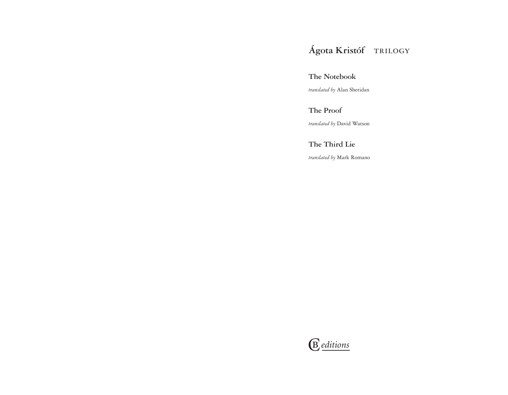# **Ágota Kristóf** trilogy

### **The Notebook**

*translated by* Alan Sheridan

## **The Proof**

*translated by* David Watson

## **The Third Lie**

*translated by* Mark Romano

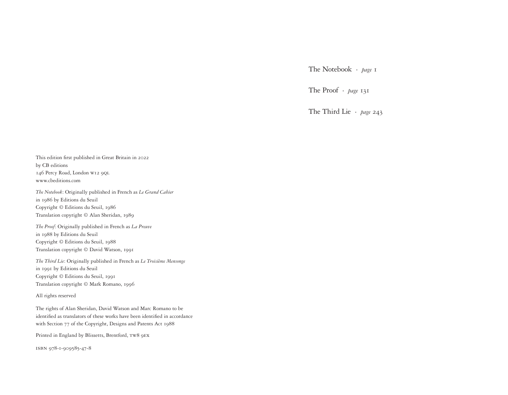The Notebook · *page* 1

The Proof · *page* 131

The Third Lie · *page* 243

This edition first published in Great Britain in 2022 by CB editions 146 Percy Road, London w12 9ql www.cbeditions.com

*The Notebook*: Originally published in French as *Le Grand Cahier* in 1986 by Editions du Seuil Copyright © Editions du Seuil, 1986 Translation copyright © Alan Sheridan, 1989

*The Proof*: Originally published in French as *La Preuve* in 1988 by Editions du Seuil Copyright © Editions du Seuil, 1988 Translation copyright © David Watson, 1991

*The Third Lie*: Originally published in French as *Le Troisième Mensonge* in 1991 by Editions du Seuil Copyright © Editions du Seuil, 1991 Translation copyright © Mark Romano, 1996

All rights reserved

The rights of Alan Sheridan, David Watson and Marc Romano to be identified as translators of these works have been identified in accordance with Section 77 of the Copyright, Designs and Patents Act 1988

Printed in England by Blissetts, Brentford, tw8 9ex

isbn 978-1-909585-47-8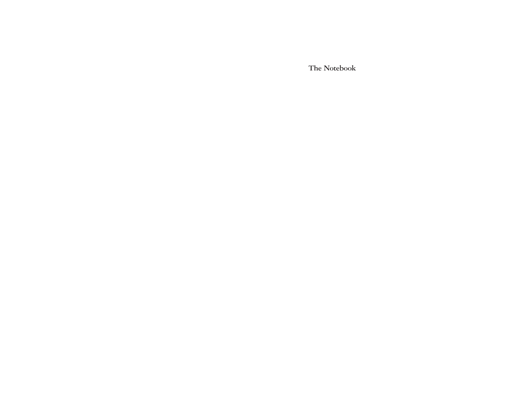**The Notebook**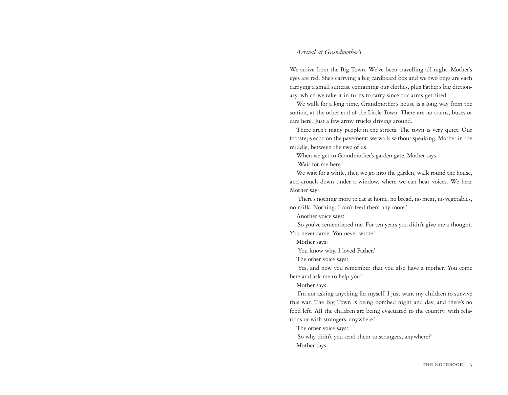### *Arrival at Grandmother's*

We arrive from the Big Town. We've been travelling all night. Mother's eyes are red. She's carrying a big cardboard box and we two boys are each carrying a small suitcase containing our clothes, plus Father's big dictionary, which we take it in turns to carry since our arms get tired.

We walk for a long time. Grandmother's house is a long way from the station, at the other end of the Little Town. There are no trams, buses or cars here. Just a few army trucks driving around.

There aren't many people in the streets. The town is very quiet. Our footsteps echo on the pavement; we walk without speaking, Mother in the middle, between the two of us.

When we get to Grandmother's garden gate, Mother says:

'Wait for me here.'

We wait for a while, then we go into the garden, walk round the house, and crouch down under a window, where we can hear voices. We hear Mother say:

'There's nothing more to eat at home, no bread, no meat, no vegetables, no milk. Nothing. I can't feed them any more.'

Another voice says:

'So you've remembered me. For ten years you didn't give me a thought. You never came. You never wrote.'

Mother says:

'You know why. I loved Father.'

The other voice says:

'Yes, and now you remember that you also have a mother. You come here and ask me to help you.'

Mother says:

'I'm not asking anything for myself. I just want my children to survive this war. The Big Town is being bombed night and day, and there's no food left. All the children are being evacuated to the country, with relations or with strangers, anywhere.'

The other voice says:

'So why didn't you send them to strangers, anywhere?' Mother says: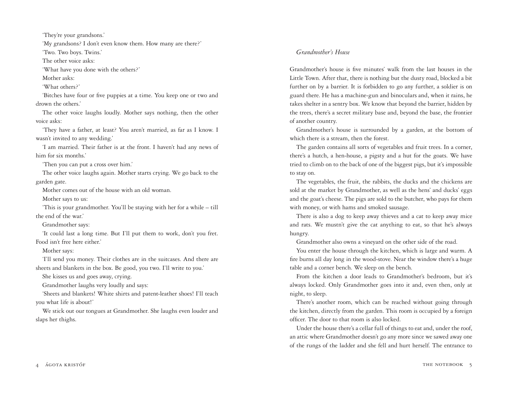'They're your grandsons.'

'My grandsons? I don't even know them. How many are there?'

'Two. Two boys. Twins.'

The other voice asks:

'What have you done with the others?'

Mother asks:

'What others?'

'Bitches have four or five puppies at a time. You keep one or two and drown the others.'

The other voice laughs loudly. Mother says nothing, then the other voice asks:

'They have a father, at least? You aren't married, as far as I know. I wasn't invited to any wedding.'

'I am married. Their father is at the front. I haven't had any news of him for six months.'

'Then you can put a cross over him.'

The other voice laughs again. Mother starts crying. We go back to the garden gate.

Mother comes out of the house with an old woman.

Mother says to us:

'This is your grandmother. You'll be staying with her for a while – till the end of the war.'

Grandmother says:

'It could last a long time. But I'll put them to work, don't you fret. Food isn't free here either.'

Mother says:

'I'll send you money. Their clothes are in the suitcases. And there are sheets and blankets in the box. Be good, you two. I'll write to you.'

She kisses us and goes away, crying.

Grandmother laughs very loudly and says:

'Sheets and blankets! White shirts and patent-leather shoes! I'll teach you what life is about!'

We stick out our tongues at Grandmother. She laughs even louder and slaps her thighs.

#### *Grandmother's House*

Grandmother's house is five minutes' walk from the last houses in the Little Town. After that, there is nothing but the dusty road, blocked a bit further on by a barrier. It is forbidden to go any further, a soldier is on guard there. He has a machine-gun and binoculars and, when it rains, he takes shelter in a sentry box. We know that beyond the barrier, hidden by the trees, there's a secret military base and, beyond the base, the frontier of another country.

Grandmother's house is surrounded by a garden, at the bottom of which there is a stream, then the forest.

The garden contains all sorts of vegetables and fruit trees. In a corner, there's a hutch, a hen-house, a pigsty and a hut for the goats. We have tried to climb on to the back of one of the biggest pigs, but it's impossible to stay on.

The vegetables, the fruit, the rabbits, the ducks and the chickens are sold at the market by Grandmother, as well as the hens' and ducks' eggs and the goat's cheese. The pigs are sold to the butcher, who pays for them with money, or with hams and smoked sausage.

There is also a dog to keep away thieves and a cat to keep away mice and rats. We mustn't give the cat anything to eat, so that he's always hungry.

Grandmother also owns a vineyard on the other side of the road.

You enter the house through the kitchen, which is large and warm. A fire burns all day long in the wood-stove. Near the window there's a huge table and a corner bench. We sleep on the bench.

From the kitchen a door leads to Grandmother's bedroom, but it's always locked. Only Grandmother goes into it and, even then, only at night, to sleep.

There's another room, which can be reached without going through the kitchen, directly from the garden. This room is occupied by a foreign officer. The door to that room is also locked.

Under the house there's a cellar full of things to eat and, under the roof, an attic where Grandmother doesn't go any more since we sawed away one of the rungs of the ladder and she fell and hurt herself. The entrance to